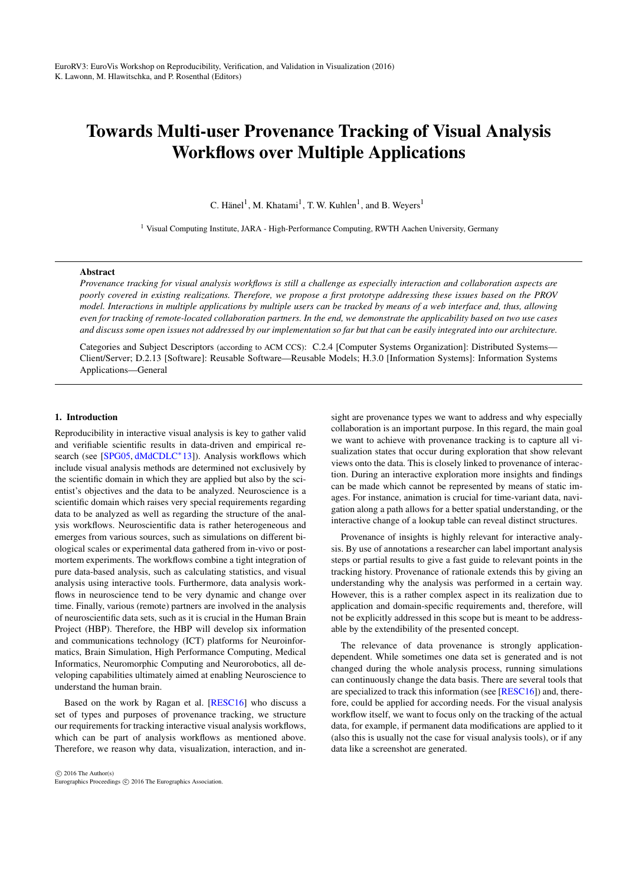# <span id="page-0-0"></span>Towards Multi-user Provenance Tracking of Visual Analysis Workflows over Multiple Applications

C. Hänel<sup>1</sup>, M. Khatami<sup>1</sup>, T. W. Kuhlen<sup>1</sup>, and B. Weyers<sup>1</sup>

<sup>1</sup> Visual Computing Institute, JARA - High-Performance Computing, RWTH Aachen University, Germany

# Abstract

*Provenance tracking for visual analysis workflows is still a challenge as especially interaction and collaboration aspects are poorly covered in existing realizations. Therefore, we propose a first prototype addressing these issues based on the PROV model. Interactions in multiple applications by multiple users can be tracked by means of a web interface and, thus, allowing even for tracking of remote-located collaboration partners. In the end, we demonstrate the applicability based on two use cases and discuss some open issues not addressed by our implementation so far but that can be easily integrated into our architecture.*

Categories and Subject Descriptors (according to ACM CCS): C.2.4 [Computer Systems Organization]: Distributed Systems— Client/Server; D.2.13 [Software]: Reusable Software—Reusable Models; H.3.0 [Information Systems]: Information Systems Applications—General

#### 1. Introduction

Reproducibility in interactive visual analysis is key to gather valid and verifiable scientific results in data-driven and empirical re-search (see [\[SPG05,](#page-4-0) [dMdCDLC](#page-4-1)<sup>\*</sup>13]). Analysis workflows which include visual analysis methods are determined not exclusively by the scientific domain in which they are applied but also by the scientist's objectives and the data to be analyzed. Neuroscience is a scientific domain which raises very special requirements regarding data to be analyzed as well as regarding the structure of the analysis workflows. Neuroscientific data is rather heterogeneous and emerges from various sources, such as simulations on different biological scales or experimental data gathered from in-vivo or postmortem experiments. The workflows combine a tight integration of pure data-based analysis, such as calculating statistics, and visual analysis using interactive tools. Furthermore, data analysis workflows in neuroscience tend to be very dynamic and change over time. Finally, various (remote) partners are involved in the analysis of neuroscientific data sets, such as it is crucial in the Human Brain Project (HBP). Therefore, the HBP will develop six information and communications technology (ICT) platforms for Neuroinformatics, Brain Simulation, High Performance Computing, Medical Informatics, Neuromorphic Computing and Neurorobotics, all developing capabilities ultimately aimed at enabling Neuroscience to understand the human brain.

Based on the work by Ragan et al. [\[RESC16\]](#page-4-2) who discuss a set of types and purposes of provenance tracking, we structure our requirements for tracking interactive visual analysis workflows, which can be part of analysis workflows as mentioned above. Therefore, we reason why data, visualization, interaction, and in-

 $\odot$  2016 The Author(s) Eurographics Proceedings (C) 2016 The Eurographics Association

sight are provenance types we want to address and why especially collaboration is an important purpose. In this regard, the main goal we want to achieve with provenance tracking is to capture all visualization states that occur during exploration that show relevant views onto the data. This is closely linked to provenance of interaction. During an interactive exploration more insights and findings can be made which cannot be represented by means of static images. For instance, animation is crucial for time-variant data, navigation along a path allows for a better spatial understanding, or the interactive change of a lookup table can reveal distinct structures.

Provenance of insights is highly relevant for interactive analysis. By use of annotations a researcher can label important analysis steps or partial results to give a fast guide to relevant points in the tracking history. Provenance of rationale extends this by giving an understanding why the analysis was performed in a certain way. However, this is a rather complex aspect in its realization due to application and domain-specific requirements and, therefore, will not be explicitly addressed in this scope but is meant to be addressable by the extendibility of the presented concept.

The relevance of data provenance is strongly applicationdependent. While sometimes one data set is generated and is not changed during the whole analysis process, running simulations can continuously change the data basis. There are several tools that are specialized to track this information (see [\[RESC16\]](#page-4-2)) and, therefore, could be applied for according needs. For the visual analysis workflow itself, we want to focus only on the tracking of the actual data, for example, if permanent data modifications are applied to it (also this is usually not the case for visual analysis tools), or if any data like a screenshot are generated.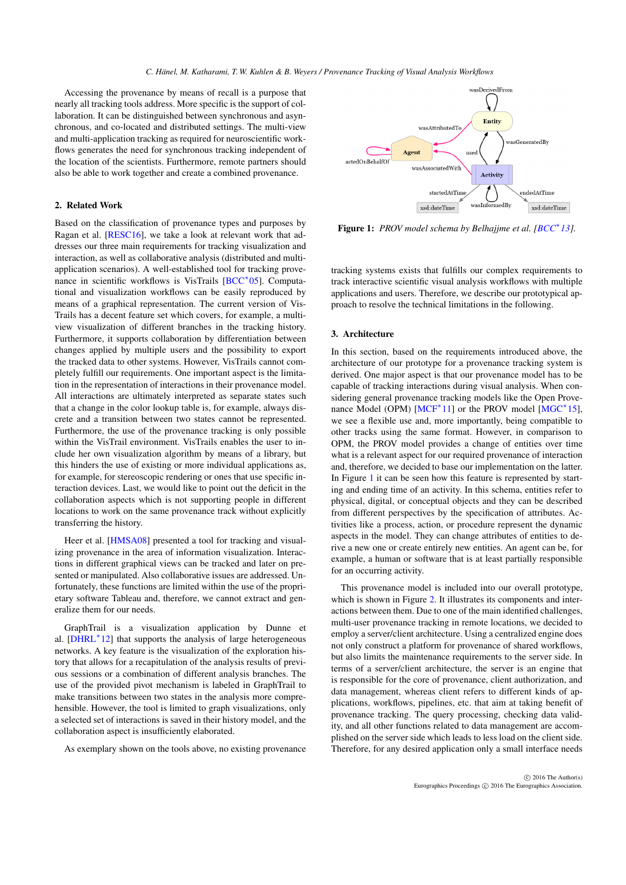<span id="page-1-1"></span>Accessing the provenance by means of recall is a purpose that nearly all tracking tools address. More specific is the support of collaboration. It can be distinguished between synchronous and asynchronous, and co-located and distributed settings. The multi-view and multi-application tracking as required for neuroscientific workflows generates the need for synchronous tracking independent of the location of the scientists. Furthermore, remote partners should also be able to work together and create a combined provenance.

# 2. Related Work

Based on the classification of provenance types and purposes by Ragan et al. [\[RESC16\]](#page-4-2), we take a look at relevant work that addresses our three main requirements for tracking visualization and interaction, as well as collaborative analysis (distributed and multiapplication scenarios). A well-established tool for tracking prove-nance in scientific workflows is VisTrails [\[BCC](#page-4-3)<sup>\*</sup>05]. Computational and visualization workflows can be easily reproduced by means of a graphical representation. The current version of Vis-Trails has a decent feature set which covers, for example, a multiview visualization of different branches in the tracking history. Furthermore, it supports collaboration by differentiation between changes applied by multiple users and the possibility to export the tracked data to other systems. However, VisTrails cannot completely fulfill our requirements. One important aspect is the limitation in the representation of interactions in their provenance model. All interactions are ultimately interpreted as separate states such that a change in the color lookup table is, for example, always discrete and a transition between two states cannot be represented. Furthermore, the use of the provenance tracking is only possible within the VisTrail environment. VisTrails enables the user to include her own visualization algorithm by means of a library, but this hinders the use of existing or more individual applications as, for example, for stereoscopic rendering or ones that use specific interaction devices. Last, we would like to point out the deficit in the collaboration aspects which is not supporting people in different locations to work on the same provenance track without explicitly transferring the history.

Heer et al. [\[HMSA08\]](#page-4-4) presented a tool for tracking and visualizing provenance in the area of information visualization. Interactions in different graphical views can be tracked and later on presented or manipulated. Also collaborative issues are addressed. Unfortunately, these functions are limited within the use of the proprietary software Tableau and, therefore, we cannot extract and generalize them for our needs.

GraphTrail is a visualization application by Dunne et al. [\[DHRL](#page-4-5)<sup>\*</sup>12] that supports the analysis of large heterogeneous networks. A key feature is the visualization of the exploration history that allows for a recapitulation of the analysis results of previous sessions or a combination of different analysis branches. The use of the provided pivot mechanism is labeled in GraphTrail to make transitions between two states in the analysis more comprehensible. However, the tool is limited to graph visualizations, only a selected set of interactions is saved in their history model, and the collaboration aspect is insufficiently elaborated.

As exemplary shown on the tools above, no existing provenance



<span id="page-1-0"></span>Figure 1: *PROV model schema by Belhajjme et al. [\[BCC](#page-4-6)*<sup>∗</sup> *13].*

tracking systems exists that fulfills our complex requirements to track interactive scientific visual analysis workflows with multiple applications and users. Therefore, we describe our prototypical approach to resolve the technical limitations in the following.

## 3. Architecture

In this section, based on the requirements introduced above, the architecture of our prototype for a provenance tracking system is derived. One major aspect is that our provenance model has to be capable of tracking interactions during visual analysis. When considering general provenance tracking models like the Open Prove-nance Model (OPM) [\[MCF](#page-4-7)<sup>\*</sup>11] or the PROV model [\[MGC](#page-4-8)<sup>\*</sup>15], we see a flexible use and, more importantly, being compatible to other tracks using the same format. However, in comparison to OPM, the PROV model provides a change of entities over time what is a relevant aspect for our required provenance of interaction and, therefore, we decided to base our implementation on the latter. In Figure [1](#page-1-0) it can be seen how this feature is represented by starting and ending time of an activity. In this schema, entities refer to physical, digital, or conceptual objects and they can be described from different perspectives by the specification of attributes. Activities like a process, action, or procedure represent the dynamic aspects in the model. They can change attributes of entities to derive a new one or create entirely new entities. An agent can be, for example, a human or software that is at least partially responsible for an occurring activity.

This provenance model is included into our overall prototype, which is shown in Figure [2.](#page-2-0) It illustrates its components and interactions between them. Due to one of the main identified challenges, multi-user provenance tracking in remote locations, we decided to employ a server/client architecture. Using a centralized engine does not only construct a platform for provenance of shared workflows, but also limits the maintenance requirements to the server side. In terms of a server/client architecture, the server is an engine that is responsible for the core of provenance, client authorization, and data management, whereas client refers to different kinds of applications, workflows, pipelines, etc. that aim at taking benefit of provenance tracking. The query processing, checking data validity, and all other functions related to data management are accomplished on the server side which leads to less load on the client side. Therefore, for any desired application only a small interface needs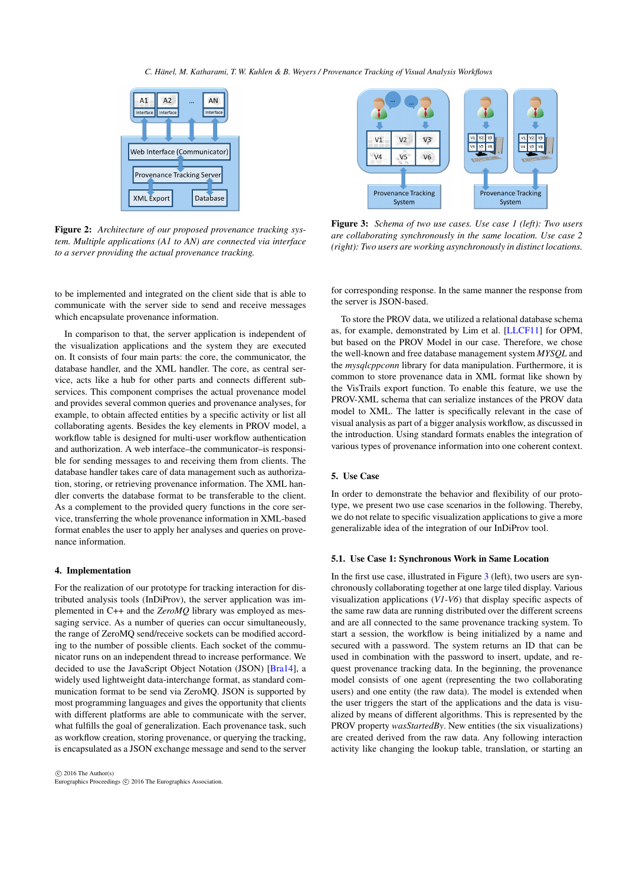#### *C. Hänel, M. Katharami, T. W. Kuhlen & B. Weyers / Provenance Tracking of Visual Analysis Workflows*

<span id="page-2-2"></span>

<span id="page-2-0"></span>Figure 2: *Architecture of our proposed provenance tracking system. Multiple applications (A1 to AN) are connected via interface to a server providing the actual provenance tracking.*

to be implemented and integrated on the client side that is able to communicate with the server side to send and receive messages which encapsulate provenance information.

In comparison to that, the server application is independent of the visualization applications and the system they are executed on. It consists of four main parts: the core, the communicator, the database handler, and the XML handler. The core, as central service, acts like a hub for other parts and connects different subservices. This component comprises the actual provenance model and provides several common queries and provenance analyses, for example, to obtain affected entities by a specific activity or list all collaborating agents. Besides the key elements in PROV model, a workflow table is designed for multi-user workflow authentication and authorization. A web interface–the communicator–is responsible for sending messages to and receiving them from clients. The database handler takes care of data management such as authorization, storing, or retrieving provenance information. The XML handler converts the database format to be transferable to the client. As a complement to the provided query functions in the core service, transferring the whole provenance information in XML-based format enables the user to apply her analyses and queries on provenance information.

## 4. Implementation

For the realization of our prototype for tracking interaction for distributed analysis tools (InDiProv), the server application was implemented in C++ and the *ZeroMQ* library was employed as messaging service. As a number of queries can occur simultaneously, the range of ZeroMQ send/receive sockets can be modified according to the number of possible clients. Each socket of the communicator runs on an independent thread to increase performance. We decided to use the JavaScript Object Notation (JSON) [\[Bra14\]](#page-4-9), a widely used lightweight data-interchange format, as standard communication format to be send via ZeroMQ. JSON is supported by most programming languages and gives the opportunity that clients with different platforms are able to communicate with the server, what fulfills the goal of generalization. Each provenance task, such as workflow creation, storing provenance, or querying the tracking, is encapsulated as a JSON exchange message and send to the server



<span id="page-2-1"></span>Figure 3: *Schema of two use cases. Use case 1 (left): Two users are collaborating synchronously in the same location. Use case 2 (right): Two users are working asynchronously in distinct locations.*

for corresponding response. In the same manner the response from the server is JSON-based.

To store the PROV data, we utilized a relational database schema as, for example, demonstrated by Lim et al. [\[LLCF11\]](#page-4-10) for OPM, but based on the PROV Model in our case. Therefore, we chose the well-known and free database management system *MYSQL* and the *mysqlcppconn* library for data manipulation. Furthermore, it is common to store provenance data in XML format like shown by the VisTrails export function. To enable this feature, we use the PROV-XML schema that can serialize instances of the PROV data model to XML. The latter is specifically relevant in the case of visual analysis as part of a bigger analysis workflow, as discussed in the introduction. Using standard formats enables the integration of various types of provenance information into one coherent context.

# 5. Use Case

In order to demonstrate the behavior and flexibility of our prototype, we present two use case scenarios in the following. Thereby, we do not relate to specific visualization applications to give a more generalizable idea of the integration of our InDiProv tool.

# 5.1. Use Case 1: Synchronous Work in Same Location

In the first use case, illustrated in Figure [3](#page-2-1) (left), two users are synchronously collaborating together at one large tiled display. Various visualization applications (*V1-V6*) that display specific aspects of the same raw data are running distributed over the different screens and are all connected to the same provenance tracking system. To start a session, the workflow is being initialized by a name and secured with a password. The system returns an ID that can be used in combination with the password to insert, update, and request provenance tracking data. In the beginning, the provenance model consists of one agent (representing the two collaborating users) and one entity (the raw data). The model is extended when the user triggers the start of the applications and the data is visualized by means of different algorithms. This is represented by the PROV property *wasStartedBy*. New entities (the six visualizations) are created derived from the raw data. Any following interaction activity like changing the lookup table, translation, or starting an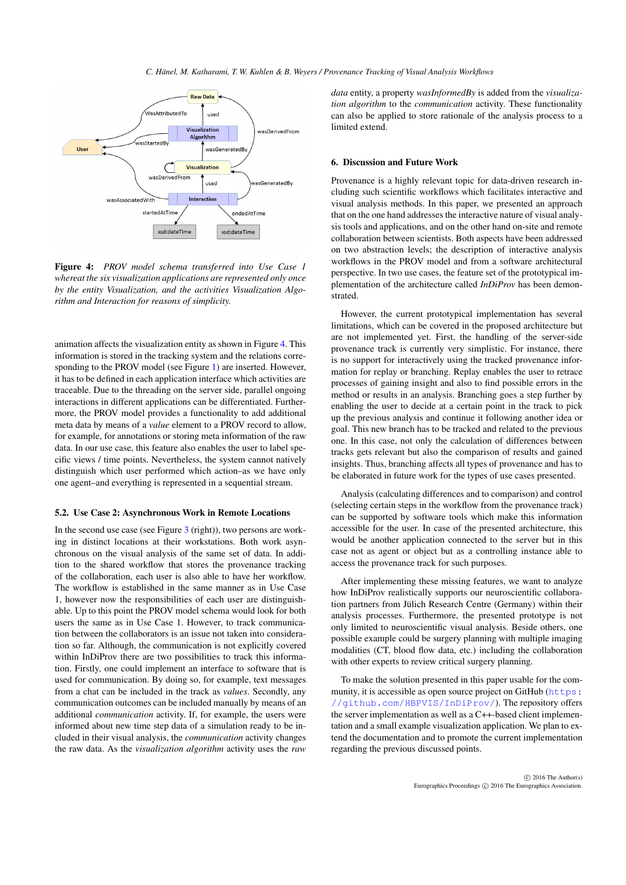

<span id="page-3-0"></span>Figure 4: *PROV model schema transferred into Use Case 1 whereat the six visualization applications are represented only once by the entity Visualization, and the activities Visualization Algorithm and Interaction for reasons of simplicity.*

animation affects the visualization entity as shown in Figure [4.](#page-3-0) This information is stored in the tracking system and the relations corresponding to the PROV model (see Figure [1\)](#page-1-0) are inserted. However, it has to be defined in each application interface which activities are traceable. Due to the threading on the server side, parallel ongoing interactions in different applications can be differentiated. Furthermore, the PROV model provides a functionality to add additional meta data by means of a *value* element to a PROV record to allow, for example, for annotations or storing meta information of the raw data. In our use case, this feature also enables the user to label specific views / time points. Nevertheless, the system cannot natively distinguish which user performed which action–as we have only one agent–and everything is represented in a sequential stream.

#### 5.2. Use Case 2: Asynchronous Work in Remote Locations

In the second use case (see Figure [3](#page-2-1) (right)), two persons are working in distinct locations at their workstations. Both work asynchronous on the visual analysis of the same set of data. In addition to the shared workflow that stores the provenance tracking of the collaboration, each user is also able to have her workflow. The workflow is established in the same manner as in Use Case 1, however now the responsibilities of each user are distinguishable. Up to this point the PROV model schema would look for both users the same as in Use Case 1. However, to track communication between the collaborators is an issue not taken into consideration so far. Although, the communication is not explicitly covered within InDiProv there are two possibilities to track this information. Firstly, one could implement an interface to software that is used for communication. By doing so, for example, text messages from a chat can be included in the track as *values*. Secondly, any communication outcomes can be included manually by means of an additional *communication* activity. If, for example, the users were informed about new time step data of a simulation ready to be included in their visual analysis, the *communication* activity changes the raw data. As the *visualization algorithm* activity uses the *raw* *data* entity, a property *wasInformedBy* is added from the *visualization algorithm* to the *communication* activity. These functionality can also be applied to store rationale of the analysis process to a limited extend.

#### 6. Discussion and Future Work

Provenance is a highly relevant topic for data-driven research including such scientific workflows which facilitates interactive and visual analysis methods. In this paper, we presented an approach that on the one hand addresses the interactive nature of visual analysis tools and applications, and on the other hand on-site and remote collaboration between scientists. Both aspects have been addressed on two abstraction levels; the description of interactive analysis workflows in the PROV model and from a software architectural perspective. In two use cases, the feature set of the prototypical implementation of the architecture called *InDiProv* has been demonstrated.

However, the current prototypical implementation has several limitations, which can be covered in the proposed architecture but are not implemented yet. First, the handling of the server-side provenance track is currently very simplistic. For instance, there is no support for interactively using the tracked provenance information for replay or branching. Replay enables the user to retrace processes of gaining insight and also to find possible errors in the method or results in an analysis. Branching goes a step further by enabling the user to decide at a certain point in the track to pick up the previous analysis and continue it following another idea or goal. This new branch has to be tracked and related to the previous one. In this case, not only the calculation of differences between tracks gets relevant but also the comparison of results and gained insights. Thus, branching affects all types of provenance and has to be elaborated in future work for the types of use cases presented.

Analysis (calculating differences and to comparison) and control (selecting certain steps in the workflow from the provenance track) can be supported by software tools which make this information accessible for the user. In case of the presented architecture, this would be another application connected to the server but in this case not as agent or object but as a controlling instance able to access the provenance track for such purposes.

After implementing these missing features, we want to analyze how InDiProv realistically supports our neuroscientific collaboration partners from Jülich Research Centre (Germany) within their analysis processes. Furthermore, the presented prototype is not only limited to neuroscientific visual analysis. Beside others, one possible example could be surgery planning with multiple imaging modalities (CT, blood flow data, etc.) including the collaboration with other experts to review critical surgery planning.

To make the solution presented in this paper usable for the community, it is accessible as open source project on GitHub ([https:](https://github.com/HBPVIS/InDiProv/) [//github.com/HBPVIS/InDiProv/](https://github.com/HBPVIS/InDiProv/)). The repository offers the server implementation as well as a C++-based client implementation and a small example visualization application. We plan to extend the documentation and to promote the current implementation regarding the previous discussed points.